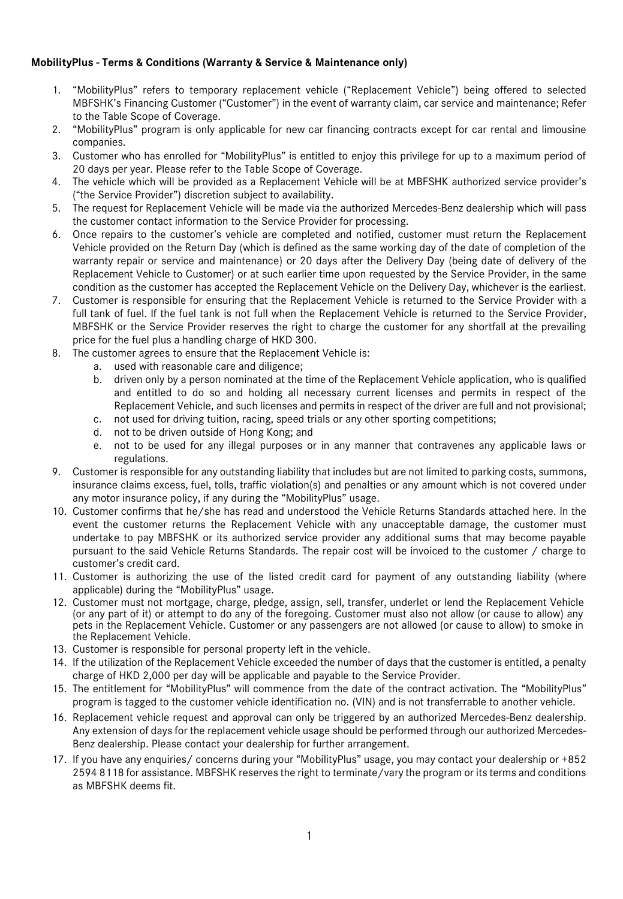# **MobilityPlus - Terms & Conditions (Warranty & Service & Maintenance only)**

- 1. "MobilityPlus" refers to temporary replacement vehicle ("Replacement Vehicle") being offered to selected MBFSHK's Financing Customer ("Customer") in the event of warranty claim, car service and maintenance; Refer to the Table Scope of Coverage.
- 2. "MobilityPlus" program is only applicable for new car financing contracts except for car rental and limousine companies.
- 3. Customer who has enrolled for "MobilityPlus" is entitled to enjoy this privilege for up to a maximum period of 20 days per year. Please refer to the Table Scope of Coverage.
- 4. The vehicle which will be provided as a Replacement Vehicle will be at MBFSHK authorized service provider's ("the Service Provider") discretion subject to availability.
- 5. The request for Replacement Vehicle will be made via the authorized Mercedes-Benz dealership which will pass the customer contact information to the Service Provider for processing.
- 6. Once repairs to the customer's vehicle are completed and notified, customer must return the Replacement Vehicle provided on the Return Day (which is defined as the same working day of the date of completion of the warranty repair or service and maintenance) or 20 days after the Delivery Day (being date of delivery of the Replacement Vehicle to Customer) or at such earlier time upon requested by the Service Provider, in the same condition as the customer has accepted the Replacement Vehicle on the Delivery Day, whichever is the earliest.
- 7. Customer is responsible for ensuring that the Replacement Vehicle is returned to the Service Provider with a full tank of fuel. If the fuel tank is not full when the Replacement Vehicle is returned to the Service Provider, MBFSHK or the Service Provider reserves the right to charge the customer for any shortfall at the prevailing price for the fuel plus a handling charge of HKD 300.
- 8. The customer agrees to ensure that the Replacement Vehicle is:
	- a. used with reasonable care and diligence;
	- b. driven only by a person nominated at the time of the Replacement Vehicle application, who is qualified and entitled to do so and holding all necessary current licenses and permits in respect of the Replacement Vehicle, and such licenses and permits in respect of the driver are full and not provisional;
	- c. not used for driving tuition, racing, speed trials or any other sporting competitions;
	- d. not to be driven outside of Hong Kong; and
	- e. not to be used for any illegal purposes or in any manner that contravenes any applicable laws or regulations.
- 9. Customer is responsible for any outstanding liability that includes but are not limited to parking costs, summons, insurance claims excess, fuel, tolls, traffic violation(s) and penalties or any amount which is not covered under any motor insurance policy, if any during the "MobilityPlus" usage.
- 10. Customer confirms that he/she has read and understood the Vehicle Returns Standards attached here. In the event the customer returns the Replacement Vehicle with any unacceptable damage, the customer must undertake to pay MBFSHK or its authorized service provider any additional sums that may become payable pursuant to the said Vehicle Returns Standards. The repair cost will be invoiced to the customer / charge to customer's credit card.
- 11. Customer is authorizing the use of the listed credit card for payment of any outstanding liability (where applicable) during the "MobilityPlus" usage.
- 12. Customer must not mortgage, charge, pledge, assign, sell, transfer, underlet or lend the Replacement Vehicle (or any part of it) or attempt to do any of the foregoing. Customer must also not allow (or cause to allow) any pets in the Replacement Vehicle. Customer or any passengers are not allowed (or cause to allow) to smoke in the Replacement Vehicle.
- 13. Customer is responsible for personal property left in the vehicle.
- 14. If the utilization of the Replacement Vehicle exceeded the number of days that the customer is entitled, a penalty charge of HKD 2,000 per day will be applicable and payable to the Service Provider.
- 15. The entitlement for "MobilityPlus" will commence from the date of the contract activation. The "MobilityPlus" program is tagged to the customer vehicle identification no. (VIN) and is not transferrable to another vehicle.
- 16. Replacement vehicle request and approval can only be triggered by an authorized Mercedes-Benz dealership. Any extension of days for the replacement vehicle usage should be performed through our authorized Mercedes-Benz dealership. Please contact your dealership for further arrangement.
- 17. If you have any enquiries/ concerns during your "MobilityPlus" usage, you may contact your dealership or +852 2594 8118 for assistance. MBFSHK reserves the right to terminate/vary the program or its terms and conditions as MBFSHK deems fit.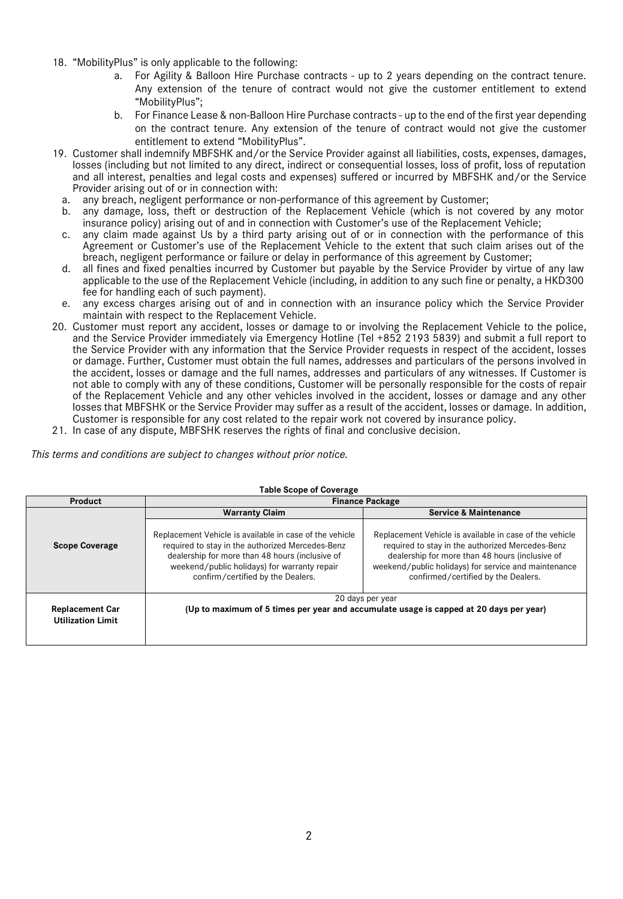- 18. "MobilityPlus" is only applicable to the following:
	- a. For Agility & Balloon Hire Purchase contracts up to 2 years depending on the contract tenure. Any extension of the tenure of contract would not give the customer entitlement to extend "MobilityPlus";
	- b. For Finance Lease & non-Balloon Hire Purchase contracts up to the end of the first year depending on the contract tenure. Any extension of the tenure of contract would not give the customer entitlement to extend "MobilityPlus".
- 19. Customer shall indemnify MBFSHK and/or the Service Provider against all liabilities, costs, expenses, damages, losses (including but not limited to any direct, indirect or consequential losses, loss of profit, loss of reputation and all interest, penalties and legal costs and expenses) suffered or incurred by MBFSHK and/or the Service Provider arising out of or in connection with:
	- a. any breach, negligent performance or non-performance of this agreement by Customer;
	- b. any damage, loss, theft or destruction of the Replacement Vehicle (which is not covered by any motor insurance policy) arising out of and in connection with Customer's use of the Replacement Vehicle;
	- c. any claim made against Us by a third party arising out of or in connection with the performance of this Agreement or Customer's use of the Replacement Vehicle to the extent that such claim arises out of the breach, negligent performance or failure or delay in performance of this agreement by Customer;
	- d. all fines and fixed penalties incurred by Customer but payable by the Service Provider by virtue of any law applicable to the use of the Replacement Vehicle (including, in addition to any such fine or penalty, a HKD300 fee for handling each of such payment).
	- e. any excess charges arising out of and in connection with an insurance policy which the Service Provider maintain with respect to the Replacement Vehicle.
- 20. Customer must report any accident, losses or damage to or involving the Replacement Vehicle to the police, and the Service Provider immediately via Emergency Hotline (Tel +852 2193 5839) and submit a full report to the Service Provider with any information that the Service Provider requests in respect of the accident, losses or damage. Further, Customer must obtain the full names, addresses and particulars of the persons involved in the accident, losses or damage and the full names, addresses and particulars of any witnesses. If Customer is not able to comply with any of these conditions, Customer will be personally responsible for the costs of repair of the Replacement Vehicle and any other vehicles involved in the accident, losses or damage and any other losses that MBFSHK or the Service Provider may suffer as a result of the accident, losses or damage. In addition, Customer is responsible for any cost related to the repair work not covered by insurance policy.
- 21. In case of any dispute, MBFSHK reserves the rights of final and conclusive decision.

*This terms and conditions are subject to changes without prior notice.* 

| Product                                            | <b>Finance Package</b>                                                                                                                                                                                                                              |                                                                                                                                                                                                                                                               |
|----------------------------------------------------|-----------------------------------------------------------------------------------------------------------------------------------------------------------------------------------------------------------------------------------------------------|---------------------------------------------------------------------------------------------------------------------------------------------------------------------------------------------------------------------------------------------------------------|
|                                                    | <b>Warranty Claim</b>                                                                                                                                                                                                                               | <b>Service &amp; Maintenance</b>                                                                                                                                                                                                                              |
| <b>Scope Coverage</b>                              | Replacement Vehicle is available in case of the vehicle<br>required to stay in the authorized Mercedes-Benz<br>dealership for more than 48 hours (inclusive of<br>weekend/public holidays) for warranty repair<br>confirm/certified by the Dealers. | Replacement Vehicle is available in case of the vehicle<br>required to stay in the authorized Mercedes-Benz<br>dealership for more than 48 hours (inclusive of<br>weekend/public holidays) for service and maintenance<br>confirmed/certified by the Dealers. |
| <b>Replacement Car</b><br><b>Utilization Limit</b> |                                                                                                                                                                                                                                                     | 20 days per year<br>(Up to maximum of 5 times per year and accumulate usage is capped at 20 days per year)                                                                                                                                                    |

### **Table Scope of Coverage**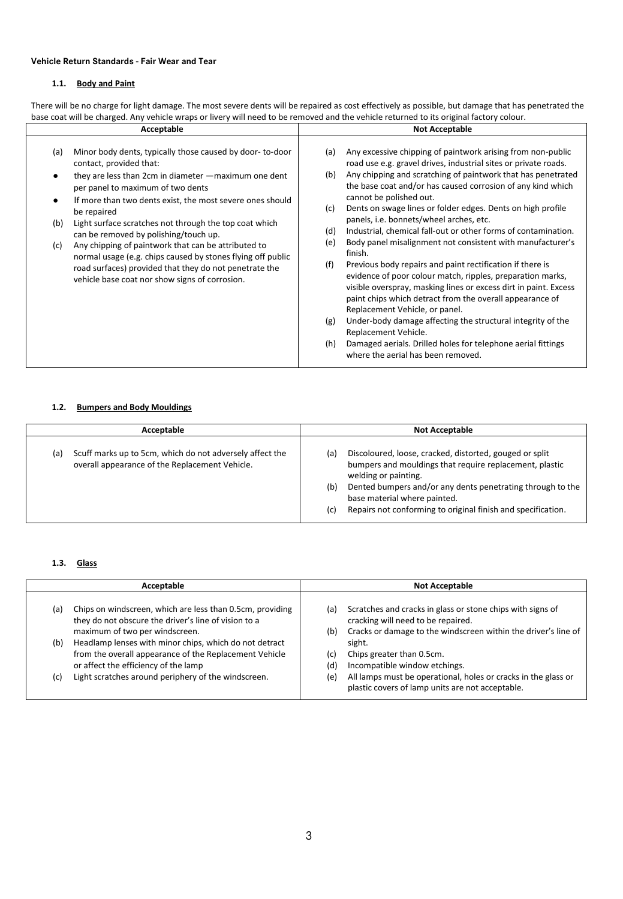### **Vehicle Return Standards - Fair Wear and Tear**

### **1.1. Body and Paint**

There will be no charge for light damage. The most severe dents will be repaired as cost effectively as possible, but damage that has penetrated the base coat will be charged. Any vehicle wraps or livery will need to be removed and the vehicle returned to its original factory colour.

| <b>Acceptable</b>                                                                                                                                                                                                                                                                                                                                                                                                                                                                                                                                                                                                       | <b>Not Acceptable</b>                                                                                                                                                                                                                                                                                                                                                                                                                                                                                                                                                                                                                                                                                                                                                                                                                                                                                                                                                                                                                                                                           |
|-------------------------------------------------------------------------------------------------------------------------------------------------------------------------------------------------------------------------------------------------------------------------------------------------------------------------------------------------------------------------------------------------------------------------------------------------------------------------------------------------------------------------------------------------------------------------------------------------------------------------|-------------------------------------------------------------------------------------------------------------------------------------------------------------------------------------------------------------------------------------------------------------------------------------------------------------------------------------------------------------------------------------------------------------------------------------------------------------------------------------------------------------------------------------------------------------------------------------------------------------------------------------------------------------------------------------------------------------------------------------------------------------------------------------------------------------------------------------------------------------------------------------------------------------------------------------------------------------------------------------------------------------------------------------------------------------------------------------------------|
| Minor body dents, typically those caused by door-to-door<br>(a)<br>contact, provided that:<br>they are less than 2cm in diameter - maximum one dent<br>per panel to maximum of two dents<br>If more than two dents exist, the most severe ones should<br>be repaired<br>Light surface scratches not through the top coat which<br>(b)<br>can be removed by polishing/touch up.<br>Any chipping of paintwork that can be attributed to<br>(c)<br>normal usage (e.g. chips caused by stones flying off public<br>road surfaces) provided that they do not penetrate the<br>vehicle base coat nor show signs of corrosion. | Any excessive chipping of paintwork arising from non-public<br>(a)<br>road use e.g. gravel drives, industrial sites or private roads.<br>Any chipping and scratching of paintwork that has penetrated<br>(b)<br>the base coat and/or has caused corrosion of any kind which<br>cannot be polished out.<br>Dents on swage lines or folder edges. Dents on high profile<br>(c)<br>panels, i.e. bonnets/wheel arches, etc.<br>Industrial, chemical fall-out or other forms of contamination.<br>(d)<br>Body panel misalignment not consistent with manufacturer's<br>(e)<br>finish.<br>Previous body repairs and paint rectification if there is<br>(f)<br>evidence of poor colour match, ripples, preparation marks,<br>visible overspray, masking lines or excess dirt in paint. Excess<br>paint chips which detract from the overall appearance of<br>Replacement Vehicle, or panel.<br>Under-body damage affecting the structural integrity of the<br>(g)<br>Replacement Vehicle.<br>Damaged aerials. Drilled holes for telephone aerial fittings<br>(h)<br>where the aerial has been removed. |

### **1.2. Bumpers and Body Mouldings**

| Acceptable                                                                                                        | <b>Not Acceptable</b>                                                                                                                                                                                                                                                                                                        |  |
|-------------------------------------------------------------------------------------------------------------------|------------------------------------------------------------------------------------------------------------------------------------------------------------------------------------------------------------------------------------------------------------------------------------------------------------------------------|--|
| Scuff marks up to 5cm, which do not adversely affect the<br>(a)<br>overall appearance of the Replacement Vehicle. | Discoloured, loose, cracked, distorted, gouged or split<br>(a<br>bumpers and mouldings that require replacement, plastic<br>welding or painting.<br>Dented bumpers and/or any dents penetrating through to the<br>(b)<br>base material where painted.<br>Repairs not conforming to original finish and specification.<br>(c) |  |

#### **1.3. Glass**

|     | Acceptable                                                                                                                                               |            | <b>Not Acceptable</b>                                                                                                                                              |  |
|-----|----------------------------------------------------------------------------------------------------------------------------------------------------------|------------|--------------------------------------------------------------------------------------------------------------------------------------------------------------------|--|
| (a) | Chips on windscreen, which are less than 0.5cm, providing<br>they do not obscure the driver's line of vision to a<br>maximum of two per windscreen.      | (a)<br>(b) | Scratches and cracks in glass or stone chips with signs of<br>cracking will need to be repaired.<br>Cracks or damage to the windscreen within the driver's line of |  |
| (b) | Headlamp lenses with minor chips, which do not detract<br>from the overall appearance of the Replacement Vehicle<br>or affect the efficiency of the lamp | (c)<br>(d) | sight.<br>Chips greater than 0.5cm.<br>Incompatible window etchings.                                                                                               |  |
| (c) | Light scratches around periphery of the windscreen.                                                                                                      | (e)        | All lamps must be operational, holes or cracks in the glass or<br>plastic covers of lamp units are not acceptable.                                                 |  |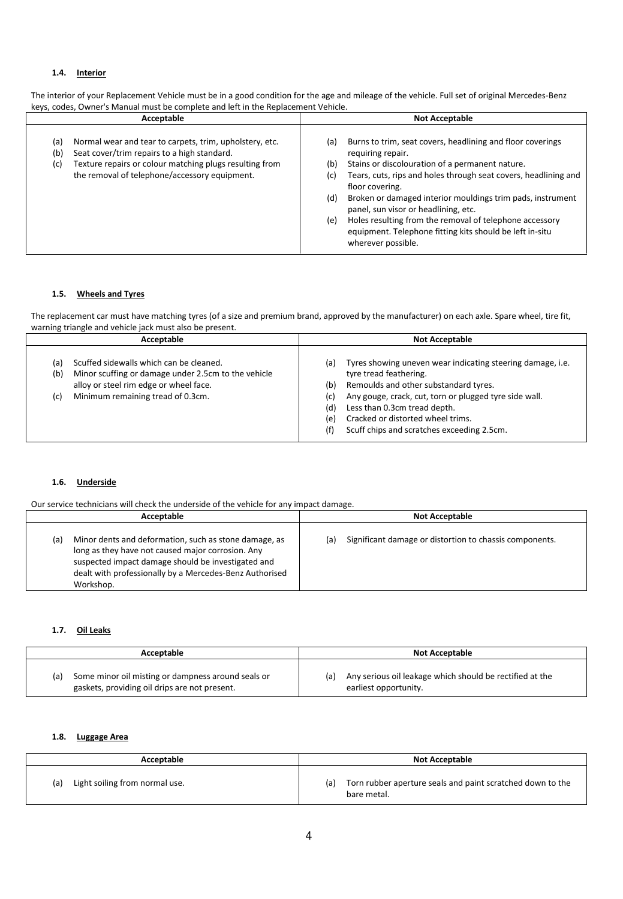# **1.4. Interior**

| Acceptable                                                                                                                                                                                                                              | <b>Not Acceptable</b>                                                                                                                                                                                                                                                                                                                                                                                                                                                                                          |  |
|-----------------------------------------------------------------------------------------------------------------------------------------------------------------------------------------------------------------------------------------|----------------------------------------------------------------------------------------------------------------------------------------------------------------------------------------------------------------------------------------------------------------------------------------------------------------------------------------------------------------------------------------------------------------------------------------------------------------------------------------------------------------|--|
| Normal wear and tear to carpets, trim, upholstery, etc.<br>(a)<br>Seat cover/trim repairs to a high standard.<br>(b)<br>Texture repairs or colour matching plugs resulting from<br>(c)<br>the removal of telephone/accessory equipment. | Burns to trim, seat covers, headlining and floor coverings<br>(a)<br>requiring repair.<br>(b)<br>Stains or discolouration of a permanent nature.<br>Tears, cuts, rips and holes through seat covers, headlining and<br>(c)<br>floor covering.<br>Broken or damaged interior mouldings trim pads, instrument<br>(d)<br>panel, sun visor or headlining, etc.<br>Holes resulting from the removal of telephone accessory<br>(e)<br>equipment. Telephone fitting kits should be left in-situ<br>wherever possible. |  |

The interior of your Replacement Vehicle must be in a good condition for the age and mileage of the vehicle. Full set of original Mercedes-Benz keys, codes, Owner's Manual must be complete and left in the Replacement Vehicle.

#### **1.5. Wheels and Tyres**

The replacement car must have matching tyres (of a size and premium brand, approved by the manufacturer) on each axle. Spare wheel, tire fit, warning triangle and vehicle jack must also be present.

| Acceptable                                                                                                                                                                                         | <b>Not Acceptable</b>                                                                                                                                                                                                                                                                                                                                |  |
|----------------------------------------------------------------------------------------------------------------------------------------------------------------------------------------------------|------------------------------------------------------------------------------------------------------------------------------------------------------------------------------------------------------------------------------------------------------------------------------------------------------------------------------------------------------|--|
| Scuffed sidewalls which can be cleaned.<br>(a)<br>Minor scuffing or damage under 2.5cm to the vehicle<br>(b)<br>alloy or steel rim edge or wheel face.<br>Minimum remaining tread of 0.3cm.<br>(c) | Tyres showing uneven wear indicating steering damage, i.e.<br>(a)<br>tyre tread feathering.<br>Remoulds and other substandard tyres.<br>(b)<br>Any gouge, crack, cut, torn or plugged tyre side wall.<br>(c)<br>Less than 0.3cm tread depth.<br>(d)<br>Cracked or distorted wheel trims.<br>(e)<br>Scuff chips and scratches exceeding 2.5cm.<br>(f) |  |

#### **1.6. Underside**

Our service technicians will check the underside of the vehicle for any impact damage.

| Acceptable                                                                                                                                                                                                                                      | <b>Not Acceptable</b>                                          |
|-------------------------------------------------------------------------------------------------------------------------------------------------------------------------------------------------------------------------------------------------|----------------------------------------------------------------|
| Minor dents and deformation, such as stone damage, as<br>(a)<br>long as they have not caused major corrosion. Any<br>suspected impact damage should be investigated and<br>dealt with professionally by a Mercedes-Benz Authorised<br>Workshop. | Significant damage or distortion to chassis components.<br>(a) |

# **1.7. Oil Leaks**

| Acceptable                                         | <b>Not Acceptable</b>                                    |
|----------------------------------------------------|----------------------------------------------------------|
| Some minor oil misting or dampness around seals or | Any serious oil leakage which should be rectified at the |
| (a)                                                | (a)                                                      |
| gaskets, providing oil drips are not present.      | earliest opportunity.                                    |

#### **1.8. Luggage Area**

| Acceptable                            | <b>Not Acceptable</b>                                                            |
|---------------------------------------|----------------------------------------------------------------------------------|
| Light soiling from normal use.<br>(a) | Torn rubber aperture seals and paint scratched down to the<br>(a)<br>bare metal. |